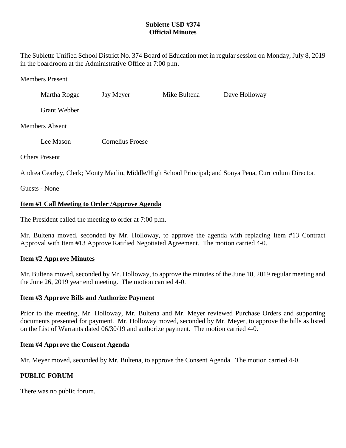# **Sublette USD #374 Official Minutes**

The Sublette Unified School District No. 374 Board of Education met in regular session on Monday, July 8, 2019 in the boardroom at the Administrative Office at 7:00 p.m.

#### Members Present

| Martha Rogge        | Jay Meyer        | Mike Bultena | Dave Holloway |
|---------------------|------------------|--------------|---------------|
| <b>Grant Webber</b> |                  |              |               |
| Members Absent      |                  |              |               |
| Lee Mason           | Cornelius Froese |              |               |

Others Present

Andrea Cearley, Clerk; Monty Marlin, Middle/High School Principal; and Sonya Pena, Curriculum Director.

Guests - None

# **Item #1 Call Meeting to Order /Approve Agenda**

The President called the meeting to order at 7:00 p.m.

Mr. Bultena moved, seconded by Mr. Holloway, to approve the agenda with replacing Item #13 Contract Approval with Item #13 Approve Ratified Negotiated Agreement. The motion carried 4-0.

## **Item #2 Approve Minutes**

Mr. Bultena moved, seconded by Mr. Holloway, to approve the minutes of the June 10, 2019 regular meeting and the June 26, 2019 year end meeting. The motion carried 4-0.

#### **Item #3 Approve Bills and Authorize Payment**

Prior to the meeting, Mr. Holloway, Mr. Bultena and Mr. Meyer reviewed Purchase Orders and supporting documents presented for payment. Mr. Holloway moved, seconded by Mr. Meyer, to approve the bills as listed on the List of Warrants dated 06/30/19 and authorize payment. The motion carried 4-0.

#### **Item #4 Approve the Consent Agenda**

Mr. Meyer moved, seconded by Mr. Bultena, to approve the Consent Agenda. The motion carried 4-0.

## **PUBLIC FORUM**

There was no public forum.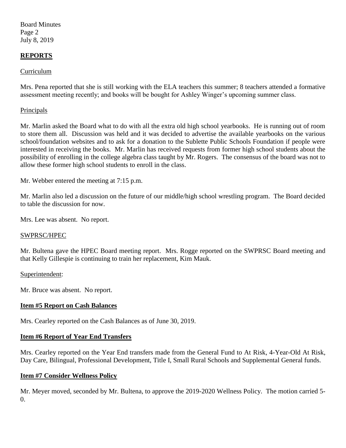Board Minutes Page 2 July 8, 2019

## **REPORTS**

## Curriculum

Mrs. Pena reported that she is still working with the ELA teachers this summer; 8 teachers attended a formative assessment meeting recently; and books will be bought for Ashley Winger's upcoming summer class.

### Principals

Mr. Marlin asked the Board what to do with all the extra old high school yearbooks. He is running out of room to store them all. Discussion was held and it was decided to advertise the available yearbooks on the various school/foundation websites and to ask for a donation to the Sublette Public Schools Foundation if people were interested in receiving the books. Mr. Marlin has received requests from former high school students about the possibility of enrolling in the college algebra class taught by Mr. Rogers. The consensus of the board was not to allow these former high school students to enroll in the class.

Mr. Webber entered the meeting at 7:15 p.m.

Mr. Marlin also led a discussion on the future of our middle/high school wrestling program. The Board decided to table the discussion for now.

Mrs. Lee was absent. No report.

#### SWPRSC/HPEC

Mr. Bultena gave the HPEC Board meeting report. Mrs. Rogge reported on the SWPRSC Board meeting and that Kelly Gillespie is continuing to train her replacement, Kim Mauk.

#### Superintendent:

Mr. Bruce was absent. No report.

#### **Item #5 Report on Cash Balances**

Mrs. Cearley reported on the Cash Balances as of June 30, 2019.

#### **Item #6 Report of Year End Transfers**

Mrs. Cearley reported on the Year End transfers made from the General Fund to At Risk, 4-Year-Old At Risk, Day Care, Bilingual, Professional Development, Title I, Small Rural Schools and Supplemental General funds.

#### **Item #7 Consider Wellness Policy**

Mr. Meyer moved, seconded by Mr. Bultena, to approve the 2019-2020 Wellness Policy. The motion carried 5-  $\Omega$ .